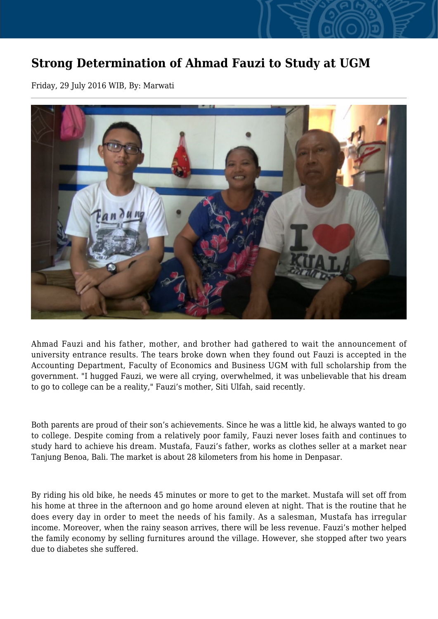## **Strong Determination of Ahmad Fauzi to Study at UGM**

Friday, 29 July 2016 WIB, By: Marwati



Ahmad Fauzi and his father, mother, and brother had gathered to wait the announcement of university entrance results. The tears broke down when they found out Fauzi is accepted in the Accounting Department, Faculty of Economics and Business UGM with full scholarship from the government. "I hugged Fauzi, we were all crying, overwhelmed, it was unbelievable that his dream to go to college can be a reality," Fauzi's mother, Siti Ulfah, said recently.

Both parents are proud of their son's achievements. Since he was a little kid, he always wanted to go to college. Despite coming from a relatively poor family, Fauzi never loses faith and continues to study hard to achieve his dream. Mustafa, Fauzi's father, works as clothes seller at a market near Tanjung Benoa, Bali. The market is about 28 kilometers from his home in Denpasar.

By riding his old bike, he needs 45 minutes or more to get to the market. Mustafa will set off from his home at three in the afternoon and go home around eleven at night. That is the routine that he does every day in order to meet the needs of his family. As a salesman, Mustafa has irregular income. Moreover, when the rainy season arrives, there will be less revenue. Fauzi's mother helped the family economy by selling furnitures around the village. However, she stopped after two years due to diabetes she suffered.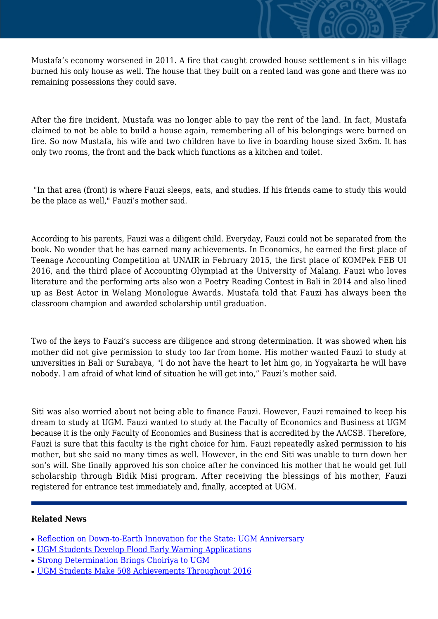Mustafa's economy worsened in 2011. A fire that caught crowded house settlement s in his village burned his only house as well. The house that they built on a rented land was gone and there was no remaining possessions they could save.

After the fire incident, Mustafa was no longer able to pay the rent of the land. In fact, Mustafa claimed to not be able to build a house again, remembering all of his belongings were burned on fire. So now Mustafa, his wife and two children have to live in boarding house sized 3x6m. It has only two rooms, the front and the back which functions as a kitchen and toilet.

 "In that area (front) is where Fauzi sleeps, eats, and studies. If his friends came to study this would be the place as well," Fauzi's mother said.

According to his parents, Fauzi was a diligent child. Everyday, Fauzi could not be separated from the book. No wonder that he has earned many achievements. In Economics, he earned the first place of Teenage Accounting Competition at UNAIR in February 2015, the first place of KOMPek FEB UI 2016, and the third place of Accounting Olympiad at the University of Malang. Fauzi who loves literature and the performing arts also won a Poetry Reading Contest in Bali in 2014 and also lined up as Best Actor in Welang Monologue Awards. Mustafa told that Fauzi has always been the classroom champion and awarded scholarship until graduation.

Two of the keys to Fauzi's success are diligence and strong determination. It was showed when his mother did not give permission to study too far from home. His mother wanted Fauzi to study at universities in Bali or Surabaya, "I do not have the heart to let him go, in Yogyakarta he will have nobody. I am afraid of what kind of situation he will get into," Fauzi's mother said.

Siti was also worried about not being able to finance Fauzi. However, Fauzi remained to keep his dream to study at UGM. Fauzi wanted to study at the Faculty of Economics and Business at UGM because it is the only Faculty of Economics and Business that is accredited by the AACSB. Therefore, Fauzi is sure that this faculty is the right choice for him. Fauzi repeatedly asked permission to his mother, but she said no many times as well. However, in the end Siti was unable to turn down her son's will. She finally approved his son choice after he convinced his mother that he would get full scholarship through Bidik Misi program. After receiving the blessings of his mother, Fauzi registered for entrance test immediately and, finally, accepted at UGM.

## **Related News**

- [Reflection on Down-to-Earth Innovation for the State: UGM Anniversary](http://ugm.ac.id/www.ugm.ac.id//en/news/16535-strong-determination-brings-choiriya-to-ugm)
- [UGM Students Develop Flood Early Warning Applications](http://ugm.ac.id/www.ugm.ac.id//en/news/12903-ugm-students-make-508-achievements-throughout-2016)
- [Strong Determination Brings Choiriya to UGM](http://ugm.ac.id/www.ugm.ac.id//en/news/14589-30th-national-student-scientific-week-opens-in-makassar)
- [UGM Students Make 508 Achievements Throughout 2016](http://ugm.ac.id/www.ugm.ac.id//en/news/10942-reflection-on-down-to-earth-innovation-for-the-state-ugm-anniversary)